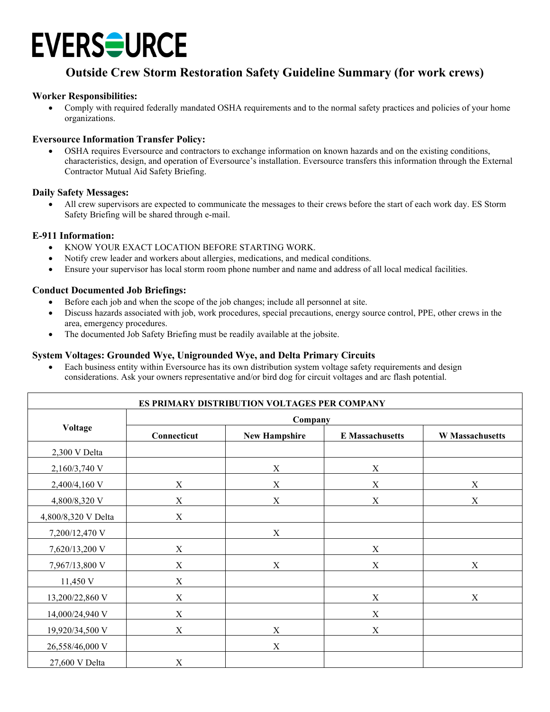## **EVERSOURCE**

### **Outside Crew Storm Restoration Safety Guideline Summary (for work crews)**

#### **Worker Responsibilities:**

• Comply with required federally mandated OSHA requirements and to the normal safety practices and policies of your home organizations.

#### **Eversource Information Transfer Policy:**

• OSHA requires Eversource and contractors to exchange information on known hazards and on the existing conditions, characteristics, design, and operation of Eversource's installation. Eversource transfers this information through the External Contractor Mutual Aid Safety Briefing.

#### **Daily Safety Messages:**

• All crew supervisors are expected to communicate the messages to their crews before the start of each work day. ES Storm Safety Briefing will be shared through e-mail.

#### **E-911 Information:**

- KNOW YOUR EXACT LOCATION BEFORE STARTING WORK.
- Notify crew leader and workers about allergies, medications, and medical conditions.
- Ensure your supervisor has local storm room phone number and name and address of all local medical facilities.

#### **Conduct Documented Job Briefings:**

- Before each job and when the scope of the job changes; include all personnel at site.
- Discuss hazards associated with job, work procedures, special precautions, energy source control, PPE, other crews in the area, emergency procedures.
- The documented Job Safety Briefing must be readily available at the jobsite.

#### **System Voltages: Grounded Wye, Unigrounded Wye, and Delta Primary Circuits**

• Each business entity within Eversource has its own distribution system voltage safety requirements and design considerations. Ask your owners representative and/or bird dog for circuit voltages and arc flash potential.

| ES PRIMARY DISTRIBUTION VOLTAGES PER COMPANY |                           |                           |                        |                        |
|----------------------------------------------|---------------------------|---------------------------|------------------------|------------------------|
| Voltage                                      | Company                   |                           |                        |                        |
|                                              | Connecticut               | <b>New Hampshire</b>      | <b>E</b> Massachusetts | <b>W</b> Massachusetts |
| 2,300 V Delta                                |                           |                           |                        |                        |
| 2,160/3,740 V                                |                           | $\mathbf X$               | $\mathbf X$            |                        |
| 2,400/4,160 V                                | $\mathbf X$               | $\mathbf X$               | $\mathbf X$            | $\mathbf X$            |
| 4,800/8,320 V                                | $\boldsymbol{\mathrm{X}}$ | $\mathbf X$               | $\mathbf X$            | $\mathbf X$            |
| 4,800/8,320 V Delta                          | $\mathbf X$               |                           |                        |                        |
| 7,200/12,470 V                               |                           | X                         |                        |                        |
| 7,620/13,200 V                               | X                         |                           | $\mathbf X$            |                        |
| 7,967/13,800 V                               | X                         | $\boldsymbol{\mathrm{X}}$ | $\mathbf X$            | X                      |
| 11,450 V                                     | $\boldsymbol{\mathrm{X}}$ |                           |                        |                        |
| 13,200/22,860 V                              | $\mathbf X$               |                           | $\mathbf X$            | $\mathbf X$            |
| 14,000/24,940 V                              | X                         |                           | $\mathbf X$            |                        |
| 19,920/34,500 V                              | X                         | $\boldsymbol{\mathrm{X}}$ | $\mathbf X$            |                        |
| 26,558/46,000 V                              |                           | $\mathbf X$               |                        |                        |
| 27,600 V Delta                               | $\mathbf X$               |                           |                        |                        |